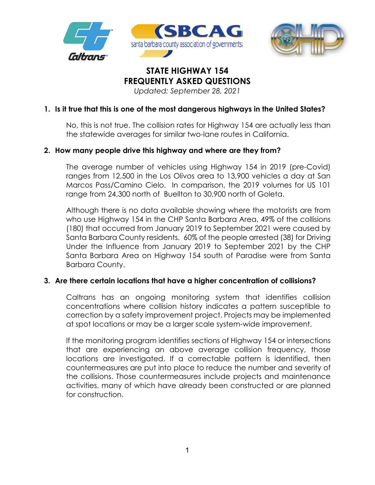



# **STATE HIGHWAY 154 FREQUENTLY ASKED QUESTIONS**

*Updated: September 28, 2021* 

# **1. Is it true that this is one of the most dangerous highways in the United States?**

No, this is not true. The collision rates for Highway 154 are actually less than the statewide averages for similar two-lane routes in California.

# **2. How many people drive this highway and where are they from?**

The average number of vehicles using Highway 154 in 2019 (pre-Covid) ranges from 12,500 in the Los Olivos area to 13,900 vehicles a day at San Marcos Pass/Camino Cielo. In comparison, the 2019 volumes for US 101 range from 24,300 north of Buellton to 30,900 north of Goleta.

Although there is no data available showing where the motorists are from who use Highway 154 in the CHP Santa Barbara Area, 49% of the collisions (180) that occurred from January 2019 to September 2021 were caused by Santa Barbara County residents. 60% of the people arrested (38) for Driving Under the Influence from January 2019 to September 2021 by the CHP Santa Barbara Area on Highway 154 south of Paradise were from Santa Barbara County.

# **3. Are there certain locations that have a higher concentration of collisions?**

Caltrans has an ongoing monitoring system that identifies collision concentrations where collision history indicates a pattern susceptible to correction by a safety improvement project. Projects may be implemented at spot locations or may be a larger scale system-wide improvement.

If the monitoring program identifies sections of Highway 154 or intersections that are experiencing an above average collision frequency, those locations are investigated. If a correctable pattern is identified, then countermeasures are put into place to reduce the number and severity of the collisions. Those countermeasures include projects and maintenance activities, many of which have already been constructed or are planned for construction.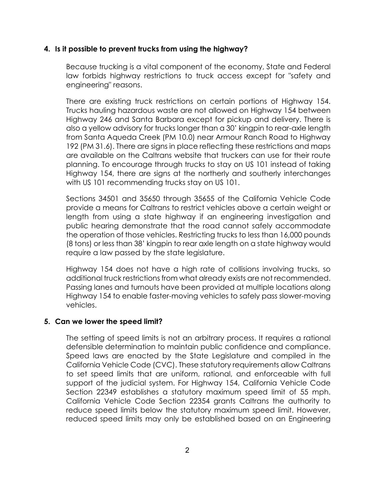#### **4. Is it possible to prevent trucks from using the highway?**

Because trucking is a vital component of the economy, State and Federal law forbids highway restrictions to truck access except for "safety and engineering" reasons.

There are existing truck restrictions on certain portions of Highway 154. Trucks hauling hazardous waste are not allowed on Highway 154 between Highway 246 and Santa Barbara except for pickup and delivery. There is also a yellow advisory for trucks longer than a 30' kingpin to rear-axle length from Santa Aqueda Creek (PM 10.0) near Armour Ranch Road to Highway 192 (PM 31.6). There are signs in place reflecting these restrictions and maps are available on the Caltrans website that truckers can use for their route planning. To encourage through trucks to stay on US 101 instead of taking Highway 154, there are signs at the northerly and southerly interchanges with US 101 recommending trucks stay on US 101.

Sections 34501 and 35650 through 35655 of the California Vehicle Code provide a means for Caltrans to restrict vehicles above a certain weight or length from using a state highway if an engineering investigation and public hearing demonstrate that the road cannot safely accommodate the operation of those vehicles. Restricting trucks to less than 16,000 pounds (8 tons) or less than 38' kingpin to rear axle length on a state highway would require a law passed by the state legislature.

Highway 154 does not have a high rate of collisions involving trucks, so additional truck restrictions from what already exists are not recommended. Passing lanes and turnouts have been provided at multiple locations along Highway 154 to enable faster-moving vehicles to safely pass slower-moving vehicles.

#### **5. Can we lower the speed limit?**

The setting of speed limits is not an arbitrary process. It requires a rational defensible determination to maintain public confidence and compliance. Speed laws are enacted by the State Legislature and compiled in the California Vehicle Code (CVC). These statutory requirements allow Caltrans to set speed limits that are uniform, rational, and enforceable with full support of the judicial system. For Highway 154, California Vehicle Code Section 22349 establishes a statutory maximum speed limit of 55 mph. California Vehicle Code Section 22354 grants Caltrans the authority to reduce speed limits below the statutory maximum speed limit. However, reduced speed limits may only be established based on an Engineering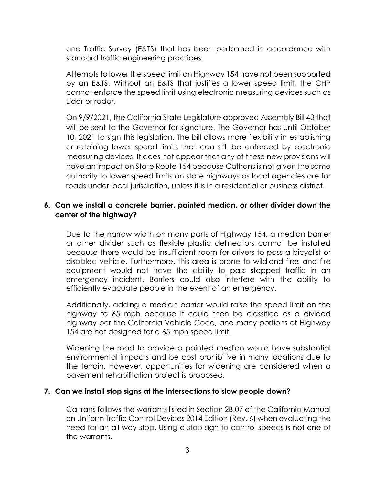and Traffic Survey (E&TS) that has been performed in accordance with standard traffic engineering practices.

Attempts to lower the speed limit on Highway 154 have not been supported by an E&TS. Without an E&TS that justifies a lower speed limit, the CHP cannot enforce the speed limit using electronic measuring devices such as Lidar or radar.

On 9/9/2021, the California State Legislature approved Assembly Bill 43 that will be sent to the Governor for signature. The Governor has until October 10, 2021 to sign this legislation. The bill allows more flexibility in establishing or retaining lower speed limits that can still be enforced by electronic measuring devices. It does not appear that any of these new provisions will have an impact on State Route 154 because Caltrans is not given the same authority to lower speed limits on state highways as local agencies are for roads under local jurisdiction, unless it is in a residential or business district.

# **6. Can we install a concrete barrier, painted median, or other divider down the center of the highway?**

Due to the narrow width on many parts of Highway 154, a median barrier or other divider such as flexible plastic delineators cannot be installed because there would be insufficient room for drivers to pass a bicyclist or disabled vehicle. Furthermore, this area is prone to wildland fires and fire equipment would not have the ability to pass stopped traffic in an emergency incident. Barriers could also interfere with the ability to efficiently evacuate people in the event of an emergency.

Additionally, adding a median barrier would raise the speed limit on the highway to 65 mph because it could then be classified as a divided highway per the California Vehicle Code, and many portions of Highway 154 are not designed for a 65 mph speed limit.

Widening the road to provide a painted median would have substantial environmental impacts and be cost prohibitive in many locations due to the terrain. However, opportunities for widening are considered when a pavement rehabilitation project is proposed.

# **7. Can we install stop signs at the intersections to slow people down?**

Caltrans follows the warrants listed in Section 2B.07 of the California Manual on Uniform Traffic Control Devices 2014 Edition (Rev. 6) when evaluating the need for an all-way stop. Using a stop sign to control speeds is not one of the warrants.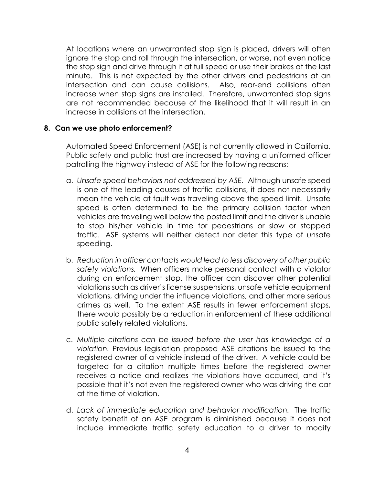At locations where an unwarranted stop sign is placed, drivers will often ignore the stop and roll through the intersection, or worse, not even notice the stop sign and drive through it at full speed or use their brakes at the last minute. This is not expected by the other drivers and pedestrians at an intersection and can cause collisions. Also, rear-end collisions often increase when stop signs are installed. Therefore, unwarranted stop signs are not recommended because of the likelihood that it will result in an increase in collisions at the intersection.

#### **8. Can we use photo enforcement?**

Automated Speed Enforcement (ASE) is not currently allowed in California. Public safety and public trust are increased by having a uniformed officer patrolling the highway instead of ASE for the following reasons:

- a. *Unsafe speed behaviors not addressed by ASE.* Although unsafe speed is one of the leading causes of traffic collisions, it does not necessarily mean the vehicle at fault was traveling above the speed limit. Unsafe speed is often determined to be the primary collision factor when vehicles are traveling well below the posted limit and the driver is unable to stop his/her vehicle in time for pedestrians or slow or stopped traffic. ASE systems will neither detect nor deter this type of unsafe speeding.
- b. *Reduction in officer contacts would lead to less discovery of other public safety violations.* When officers make personal contact with a violator during an enforcement stop, the officer can discover other potential violations such as driver's license suspensions, unsafe vehicle equipment violations, driving under the influence violations, and other more serious crimes as well. To the extent ASE results in fewer enforcement stops, there would possibly be a reduction in enforcement of these additional public safety related violations.
- c. *Multiple citations can be issued before the user has knowledge of a violation.* Previous legislation proposed ASE citations be issued to the registered owner of a vehicle instead of the driver. A vehicle could be targeted for a citation multiple times before the registered owner receives a notice and realizes the violations have occurred, and it's possible that it's not even the registered owner who was driving the car at the time of violation.
- d. *Lack of immediate education and behavior modification.* The traffic safety benefit of an ASE program is diminished because it does not include immediate traffic safety education to a driver to modify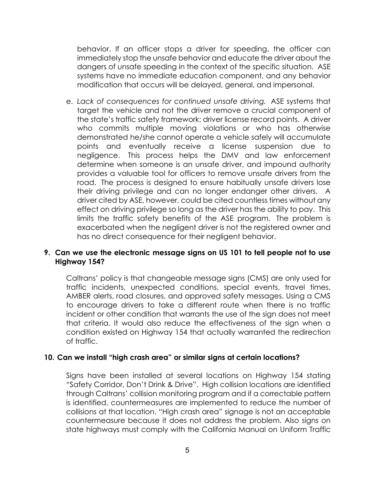behavior. If an officer stops a driver for speeding, the officer can immediately stop the unsafe behavior and educate the driver about the dangers of unsafe speeding in the context of the specific situation. ASE systems have no immediate education component, and any behavior modification that occurs will be delayed, general, and impersonal.

e. *Lack of consequences for continued unsafe driving.* ASE systems that target the vehicle and not the driver remove a crucial component of the state's traffic safety framework: driver license record points. A driver who commits multiple moving violations or who has otherwise demonstrated he/she cannot operate a vehicle safely will accumulate points and eventually receive a license suspension due to negligence. This process helps the DMV and law enforcement determine when someone is an unsafe driver, and impound authority provides a valuable tool for officers to remove unsafe drivers from the road. The process is designed to ensure habitually unsafe drivers lose their driving privilege and can no longer endanger other drivers. A driver cited by ASE, however, could be cited countless times without any effect on driving privilege so long as the driver has the ability to pay. This limits the traffic safety benefits of the ASE program. The problem is exacerbated when the negligent driver is not the registered owner and has no direct consequence for their negligent behavior.

# **9. Can we use the electronic message signs on US 101 to tell people not to use Highway 154?**

Caltrans' policy is that changeable message signs (CMS) are only used for traffic incidents, unexpected conditions, special events, travel times, AMBER alerts, road closures, and approved safety messages. Using a CMS to encourage drivers to take a different route when there is no traffic incident or other condition that warrants the use of the sign does not meet that criteria. It would also reduce the effectiveness of the sign when a condition existed on Highway 154 that actually warranted the redirection of traffic.

# **10. Can we install "high crash area" or similar signs at certain locations?**

Signs have been installed at several locations on Highway 154 stating "Safety Corridor, Don't Drink & Drive". High collision locations are identified through Caltrans' collision monitoring program and if a correctable pattern is identified, countermeasures are implemented to reduce the number of collisions at that location. "High crash area" signage is not an acceptable countermeasure because it does not address the problem. Also signs on state highways must comply with the California Manual on Uniform Traffic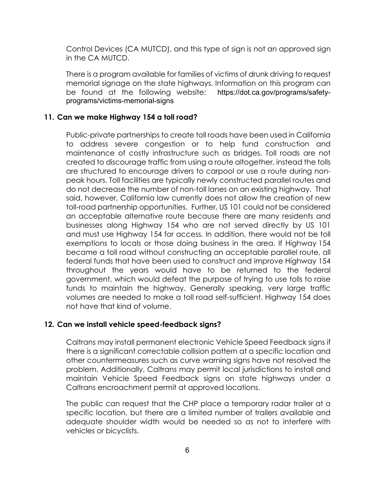Control Devices (CA MUTCD), and this type of sign is not an approved sign in the CA MUTCD.

There is a program available for families of victims of drunk driving to request memorial signage on the state highways. Information on this program can be found at the following website: https://dot.ca.gov/programs/safetyprograms/victims-memorial-signs

# **11. Can we make Highway 154 a toll road?**

Public-private partnerships to create toll roads have been used in California to address severe congestion or to help fund construction and maintenance of costly infrastructure such as bridges. Toll roads are not created to discourage traffic from using a route altogether, instead the tolls are structured to encourage drivers to carpool or use a route during nonpeak hours. Toll facilities are typically newly constructed parallel routes and do not decrease the number of non-toll lanes on an existing highway. That said, however, California law currently does not allow the creation of new toll-road partnership opportunities. Further, US 101 could not be considered an acceptable alternative route because there are many residents and businesses along Highway 154 who are not served directly by US 101 and must use Highway 154 for access. In addition, there would not be toll exemptions to locals or those doing business in the area. If Highway 154 became a toll road without constructing an acceptable parallel route, all federal funds that have been used to construct and improve Highway 154 throughout the years would have to be returned to the federal government, which would defeat the purpose of trying to use tolls to raise funds to maintain the highway. Generally speaking, very large traffic volumes are needed to make a toll road self-sufficient. Highway 154 does not have that kind of volume.

# **12. Can we install vehicle speed-feedback signs?**

Caltrans may install permanent electronic Vehicle Speed Feedback signs if there is a significant correctable collision pattern at a specific location and other countermeasures such as curve warning signs have not resolved the problem. Additionally, Caltrans may permit local jurisdictions to install and maintain Vehicle Speed Feedback signs on state highways under a Caltrans encroachment permit at approved locations.

The public can request that the CHP place a temporary radar trailer at a specific location, but there are a limited number of trailers available and adequate shoulder width would be needed so as not to interfere with vehicles or bicyclists.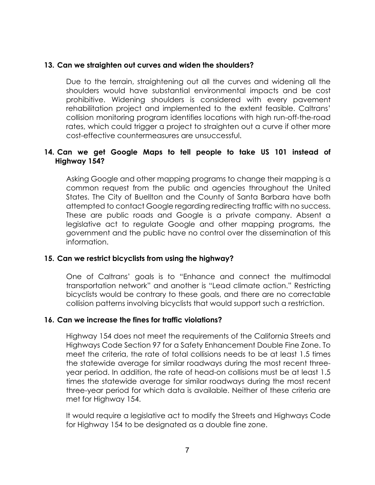#### **13. Can we straighten out curves and widen the shoulders?**

Due to the terrain, straightening out all the curves and widening all the shoulders would have substantial environmental impacts and be cost prohibitive. Widening shoulders is considered with every pavement rehabilitation project and implemented to the extent feasible. Caltrans' collision monitoring program identifies locations with high run-off-the-road rates, which could trigger a project to straighten out a curve if other more cost-effective countermeasures are unsuccessful.

#### **14. Can we get Google Maps to tell people to take US 101 instead of Highway 154?**

Asking Google and other mapping programs to change their mapping is a common request from the public and agencies throughout the United States. The City of Buellton and the County of Santa Barbara have both attempted to contact Google regarding redirecting traffic with no success. These are public roads and Google is a private company. Absent a legislative act to regulate Google and other mapping programs, the government and the public have no control over the dissemination of this information.

#### **15. Can we restrict bicyclists from using the highway?**

One of Caltrans' goals is to "Enhance and connect the multimodal transportation network" and another is "Lead climate action." Restricting bicyclists would be contrary to these goals, and there are no correctable collision patterns involving bicyclists that would support such a restriction.

#### **16. Can we increase the fines for traffic violations?**

Highway 154 does not meet the requirements of the California Streets and Highways Code Section 97 for a Safety Enhancement Double Fine Zone. To meet the criteria, the rate of total collisions needs to be at least 1.5 times the statewide average for similar roadways during the most recent threeyear period. In addition, the rate of head-on collisions must be at least 1.5 times the statewide average for similar roadways during the most recent three-year period for which data is available. Neither of these criteria are met for Highway 154.

It would require a legislative act to modify the Streets and Highways Code for Highway 154 to be designated as a double fine zone.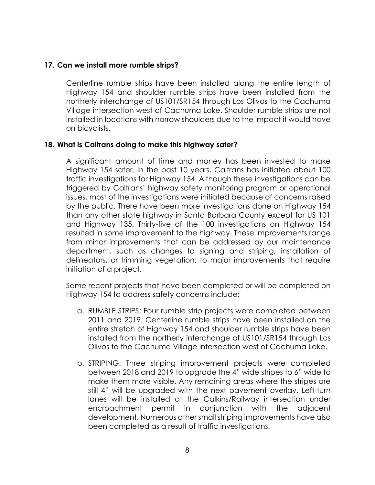# **17. Can we install more rumble strips?**

Centerline rumble strips have been installed along the entire length of Highway 154 and shoulder rumble strips have been installed from the northerly interchange of US101/SR154 through Los Olivos to the Cachuma Village intersection west of Cachuma Lake. Shoulder rumble strips are not installed in locations with narrow shoulders due to the impact it would have on bicyclists.

# **18. What is Caltrans doing to make this highway safer?**

A significant amount of time and money has been invested to make Highway 154 safer. In the past 10 years, Caltrans has initiated about 100 traffic investigations for Highway 154. Although these investigations can be triggered by Caltrans' highway safety monitoring program or operational issues, most of the investigations were initiated because of concerns raised by the public. There have been more investigations done on Highway 154 than any other state highway in Santa Barbara County except for US 101 and Highway 135. Thirty-five of the 100 investigations on Highway 154 resulted in some improvement to the highway. These improvements range from minor improvements that can be addressed by our maintenance department, such as changes to signing and striping, installation of delineators, or trimming vegetation; to major improvements that require initiation of a project.

Some recent projects that have been completed or will be completed on Highway 154 to address safety concerns include:

- a. RUMBLE STRIPS: Four rumble strip projects were completed between 2011 and 2019. Centerline rumble strips have been installed on the entire stretch of Highway 154 and shoulder rumble strips have been installed from the northerly interchange of US101/SR154 through Los Olivos to the Cachuma Village intersection west of Cachuma Lake.
- b. STRIPING: Three striping improvement projects were completed between 2018 and 2019 to upgrade the 4" wide stripes to 6" wide to make them more visible. Any remaining areas where the stripes are still 4" will be upgraded with the next pavement overlay. Left-turn lanes will be installed at the Calkins/Railway intersection under encroachment permit in conjunction with the adjacent development. Numerous other small striping improvements have also been completed as a result of traffic investigations.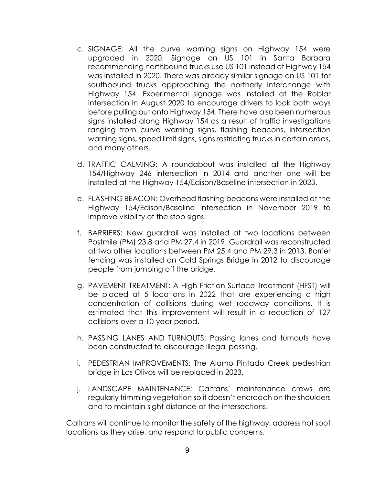- c. SIGNAGE: All the curve warning signs on Highway 154 were upgraded in 2020. Signage on US 101 in Santa Barbara recommending northbound trucks use US 101 instead of Highway 154 was installed in 2020. There was already similar signage on US 101 for southbound trucks approaching the northerly interchange with Highway 154. Experimental signage was installed at the Roblar intersection in August 2020 to encourage drivers to look both ways before pulling out onto Highway 154. There have also been numerous signs installed along Highway 154 as a result of traffic investigations ranging from curve warning signs, flashing beacons, intersection warning signs, speed limit signs, signs restricting trucks in certain areas, and many others.
- d. TRAFFIC CALMING: A roundabout was installed at the Highway 154/Highway 246 intersection in 2014 and another one will be installed at the Highway 154/Edison/Baseline intersection in 2023.
- e. FLASHING BEACON: Overhead flashing beacons were installed at the Highway 154/Edison/Baseline intersection in November 2019 to improve visibility of the stop signs.
- f. BARRIERS: New guardrail was installed at two locations between Postmile (PM) 23.8 and PM 27.4 in 2019. Guardrail was reconstructed at two other locations between PM 25.4 and PM 29.3 in 2013. Barrier fencing was installed on Cold Springs Bridge in 2012 to discourage people from jumping off the bridge.
- g. PAVEMENT TREATMENT: A High Friction Surface Treatment (HFST) will be placed at 5 locations in 2022 that are experiencing a high concentration of collisions during wet roadway conditions. It is estimated that this improvement will result in a reduction of 127 collisions over a 10-year period.
- h. PASSING LANES AND TURNOUTS: Passing lanes and turnouts have been constructed to discourage illegal passing.
- i. PEDESTRIAN IMPROVEMENTS: The Alamo Pintado Creek pedestrian bridge in Los Olivos will be replaced in 2023.
- j. LANDSCAPE MAINTENANCE: Caltrans' maintenance crews are regularly trimming vegetation so it doesn't encroach on the shoulders and to maintain sight distance at the intersections.

Caltrans will continue to monitor the safety of the highway, address hot spot locations as they arise, and respond to public concerns.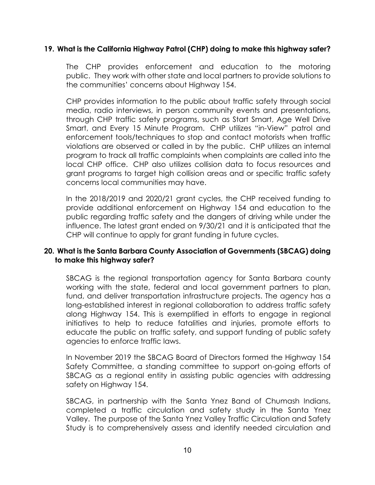# **19. What is the California Highway Patrol (CHP) doing to make this highway safer?**

The CHP provides enforcement and education to the motoring public. They work with other state and local partners to provide solutions to the communities' concerns about Highway 154.

CHP provides information to the public about traffic safety through social media, radio interviews, in person community events and presentations, through CHP traffic safety programs, such as Start Smart, Age Well Drive Smart, and Every 15 Minute Program. CHP utilizes "in-View" patrol and enforcement tools/techniques to stop and contact motorists when traffic violations are observed or called in by the public. CHP utilizes an internal program to track all traffic complaints when complaints are called into the local CHP office. CHP also utilizes collision data to focus resources and grant programs to target high collision areas and or specific traffic safety concerns local communities may have.

In the 2018/2019 and 2020/21 grant cycles, the CHP received funding to provide additional enforcement on Highway 154 and education to the public regarding traffic safety and the dangers of driving while under the influence. The latest grant ended on 9/30/21 and it is anticipated that the CHP will continue to apply for grant funding in future cycles.

# **20. What is the Santa Barbara County Association of Governments (SBCAG) doing to make this highway safer?**

SBCAG is the regional transportation agency for Santa Barbara county working with the state, federal and local government partners to plan, fund, and deliver transportation infrastructure projects. The agency has a long-established interest in regional collaboration to address traffic safety along Highway 154. This is exemplified in efforts to engage in regional initiatives to help to reduce fatalities and injuries, promote efforts to educate the public on traffic safety, and support funding of public safety agencies to enforce traffic laws.

In November 2019 the SBCAG Board of Directors formed the Highway 154 Safety Committee, a standing committee to support on-going efforts of SBCAG as a regional entity in assisting public agencies with addressing safety on Highway 154.

SBCAG, in partnership with the Santa Ynez Band of Chumash Indians, completed a traffic circulation and safety study in the Santa Ynez Valley. The purpose of the Santa Ynez Valley Traffic Circulation and Safety Study is to comprehensively assess and identify needed circulation and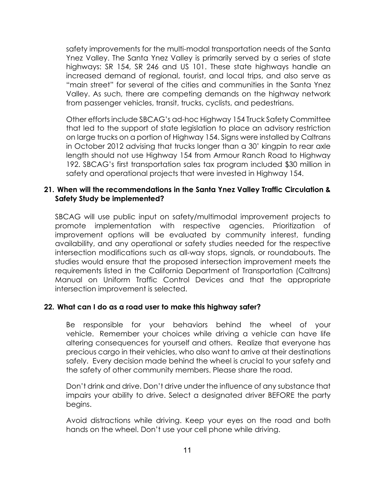safety improvements for the multi-modal transportation needs of the Santa Ynez Valley. The Santa Ynez Valley is primarily served by a series of state highways: SR 154, SR 246 and US 101. These state highways handle an increased demand of regional, tourist, and local trips, and also serve as "main street" for several of the cities and communities in the Santa Ynez Valley. As such, there are competing demands on the highway network from passenger vehicles, transit, trucks, cyclists, and pedestrians.

Other efforts include SBCAG's ad-hoc Highway 154 Truck Safety Committee that led to the support of state legislation to place an advisory restriction on large trucks on a portion of Highway 154. Signs were installed by Caltrans in October 2012 advising that trucks longer than a 30' kingpin to rear axle length should not use Highway 154 from Armour Ranch Road to Highway 192. SBCAG's first transportation sales tax program included \$30 million in safety and operational projects that were invested in Highway 154.

#### **21. When will the recommendations in the Santa Ynez Valley Traffic Circulation & Safety Study be implemented?**

SBCAG will use public input on safety/multimodal improvement projects to promote implementation with respective agencies. Prioritization of improvement options will be evaluated by community interest, funding availability, and any operational or safety studies needed for the respective intersection modifications such as all-way stops, signals, or roundabouts. The studies would ensure that the proposed intersection improvement meets the requirements listed in the California Department of Transportation (Caltrans) Manual on Uniform Traffic Control Devices and that the appropriate intersection improvement is selected.

# **22. What can I do as a road user to make this highway safer?**

Be responsible for your behaviors behind the wheel of your vehicle. Remember your choices while driving a vehicle can have life altering consequences for yourself and others. Realize that everyone has precious cargo in their vehicles, who also want to arrive at their destinations safely. Every decision made behind the wheel is crucial to your safety and the safety of other community members. Please share the road.

Don't drink and drive. Don't drive under the influence of any substance that impairs your ability to drive. Select a designated driver BEFORE the party begins.

Avoid distractions while driving. Keep your eyes on the road and both hands on the wheel. Don't use your cell phone while driving.